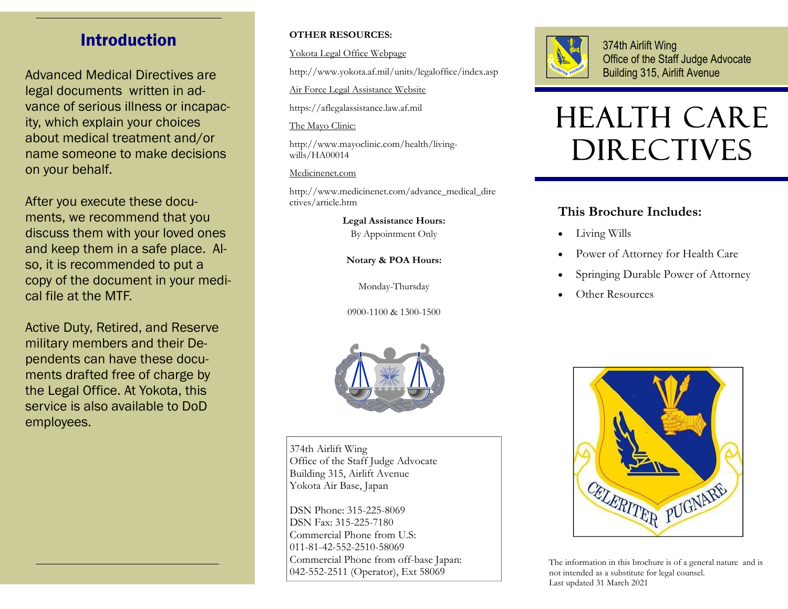#### Introduction

Advanced Medical Directives are legal documents written in advance of serious illness or incapacity, which explain your choices about medical treatment and/or name someone to make decisions on your behalf.

After you execute these documents, we recommend that you discuss them with your loved ones and keep them in a safe place. Also, it is recommended to put a copy of the document in your medical file at the MTF.

Active Duty, Retired, and Reserve military members and their Dependents can have these documents drafted free of charge by the Legal Office. At Yokota, this service is also available to DoD employees.

#### **OTHER RESOURCES:**

Yokota Legal Office Webpage

http://www.yokota.af.mil/units/legaloffice/index.asp

Air Force Legal Assistance Website

https://aflegalassistance.law.af.mil

The Mayo Clinic:

http://www.mayoclinic.com/health/livingwills/HA00014

Medicinenet.com

http://www.medicinenet.com/advance\_medical\_dire ctives/article.htm

**Legal Assistance Hours:** 

By Appointment Only

**Notary & POA Hours:** 

Monday-Thursday

0900-1100 & 1300-1500



374th Airlift Wing Office of the Staff Judge Advocate Building 315, Airlift Avenue

# HEALTH CARE DIRECTIVES

#### **This Brochure Includes:**

- $\bullet$ Living Wills
- $\bullet$ Power of Attorney for Health Care
- $\bullet$ Springing Durable Power of Attorney
- $\bullet$ Other Resources



374th Airlift Wing Office of the Staff Judge Advocate Building 315, Airlift Avenue Yokota Air Base, Japan

DSN Phone: 315-225-8069 DSN Fax: 315-225-7180 Commercial Phone from U.S: 011-81-42-552-2510-58069 Commercial Phone from off-base Japan: 042-552-2511 (Operator), Ext 58069



The information in this brochure is of a general nature and is not intended as a substitute for legal counsel. Last updated 31 March 2021